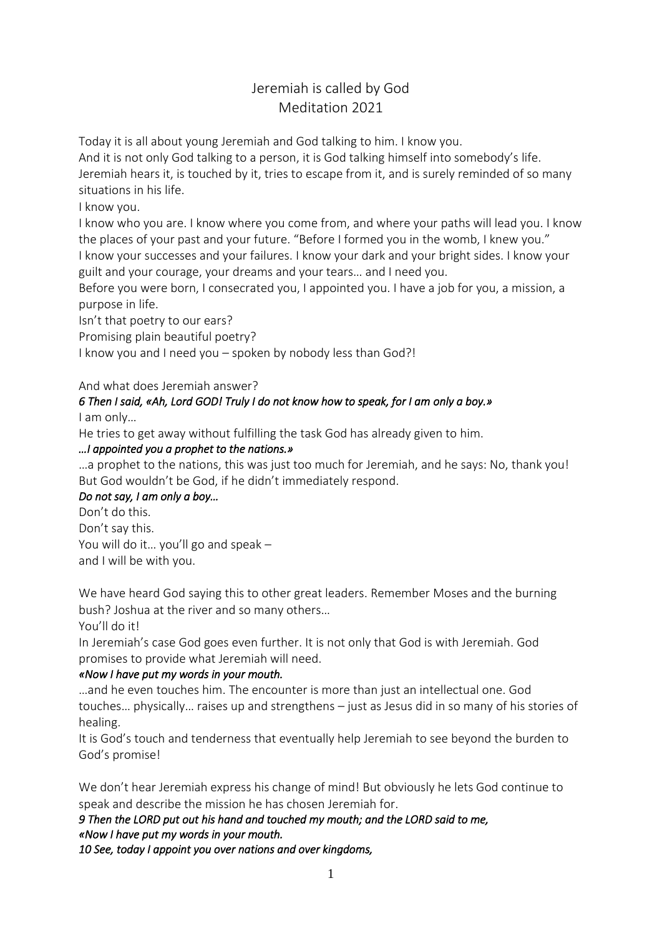# Jeremiah is called by God Meditation 2021

Today it is all about young Jeremiah and God talking to him. I know you.

And it is not only God talking to a person, it is God talking himself into somebody's life. Jeremiah hears it, is touched by it, tries to escape from it, and is surely reminded of so many situations in his life.

I know you.

I know who you are. I know where you come from, and where your paths will lead you. I know the places of your past and your future. "Before I formed you in the womb, I knew you." I know your successes and your failures. I know your dark and your bright sides. I know your guilt and your courage, your dreams and your tears… and I need you.

Before you were born, I consecrated you, I appointed you. I have a job for you, a mission, a purpose in life.

Isn't that poetry to our ears?

Promising plain beautiful poetry?

I know you and I need you – spoken by nobody less than God?!

### And what does Jeremiah answer?

#### *6 Then I said, «Ah, Lord GOD! Truly I do not know how to speak, for I am only a boy.»*  I am only…

He tries to get away without fulfilling the task God has already given to him.

### *…I appointed you a prophet to the nations.»*

…a prophet to the nations, this was just too much for Jeremiah, and he says: No, thank you! But God wouldn't be God, if he didn't immediately respond.

# *Do not say, I am only a boy…*

Don't do this.

Don't say this. You will do it… you'll go and speak –

and I will be with you.

We have heard God saying this to other great leaders. Remember Moses and the burning bush? Joshua at the river and so many others…

You'll do it!

In Jeremiah's case God goes even further. It is not only that God is with Jeremiah. God promises to provide what Jeremiah will need.

# *«Now I have put my words in your mouth.*

…and he even touches him. The encounter is more than just an intellectual one. God touches… physically… raises up and strengthens – just as Jesus did in so many of his stories of healing.

It is God's touch and tenderness that eventually help Jeremiah to see beyond the burden to God's promise!

We don't hear Jeremiah express his change of mind! But obviously he lets God continue to speak and describe the mission he has chosen Jeremiah for.

*9 Then the LORD put out his hand and touched my mouth; and the LORD said to me, «Now I have put my words in your mouth. 10 See, today I appoint you over nations and over kingdoms,*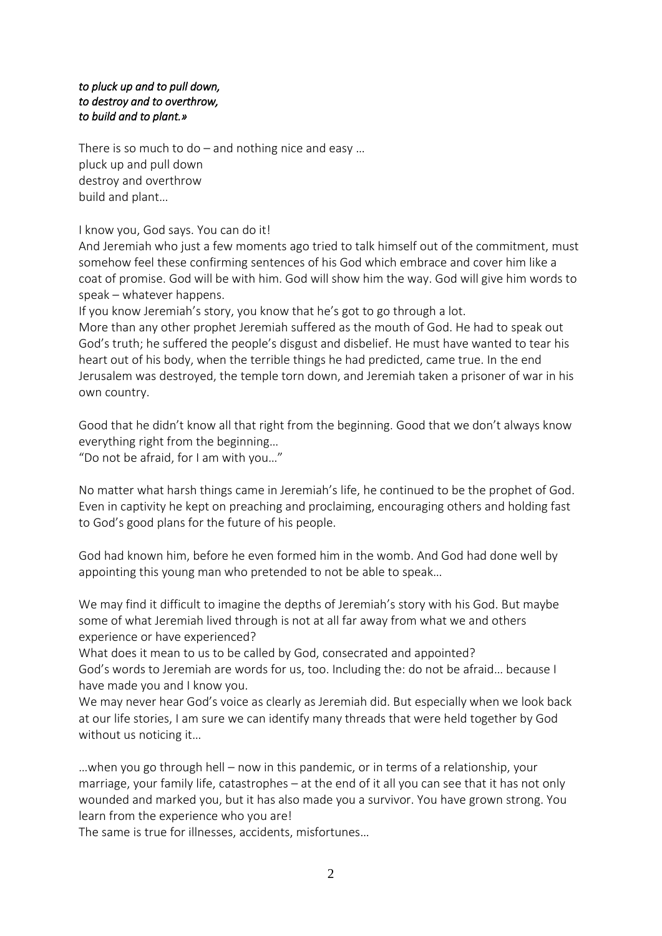### *to pluck up and to pull down, to destroy and to overthrow, to build and to plant.»*

There is so much to do – and nothing nice and easy ... pluck up and pull down destroy and overthrow build and plant…

I know you, God says. You can do it!

And Jeremiah who just a few moments ago tried to talk himself out of the commitment, must somehow feel these confirming sentences of his God which embrace and cover him like a coat of promise. God will be with him. God will show him the way. God will give him words to speak – whatever happens.

If you know Jeremiah's story, you know that he's got to go through a lot.

More than any other prophet Jeremiah suffered as the mouth of God. He had to speak out God's truth; he suffered the people's disgust and disbelief. He must have wanted to tear his heart out of his body, when the terrible things he had predicted, came true. In the end Jerusalem was destroyed, the temple torn down, and Jeremiah taken a prisoner of war in his own country.

Good that he didn't know all that right from the beginning. Good that we don't always know everything right from the beginning…

"Do not be afraid, for I am with you…"

No matter what harsh things came in Jeremiah's life, he continued to be the prophet of God. Even in captivity he kept on preaching and proclaiming, encouraging others and holding fast to God's good plans for the future of his people.

God had known him, before he even formed him in the womb. And God had done well by appointing this young man who pretended to not be able to speak…

We may find it difficult to imagine the depths of Jeremiah's story with his God. But maybe some of what Jeremiah lived through is not at all far away from what we and others experience or have experienced?

What does it mean to us to be called by God, consecrated and appointed? God's words to Jeremiah are words for us, too. Including the: do not be afraid… because I have made you and I know you.

We may never hear God's voice as clearly as Jeremiah did. But especially when we look back at our life stories, I am sure we can identify many threads that were held together by God without us noticing it…

…when you go through hell – now in this pandemic, or in terms of a relationship, your marriage, your family life, catastrophes – at the end of it all you can see that it has not only wounded and marked you, but it has also made you a survivor. You have grown strong. You learn from the experience who you are!

The same is true for illnesses, accidents, misfortunes…